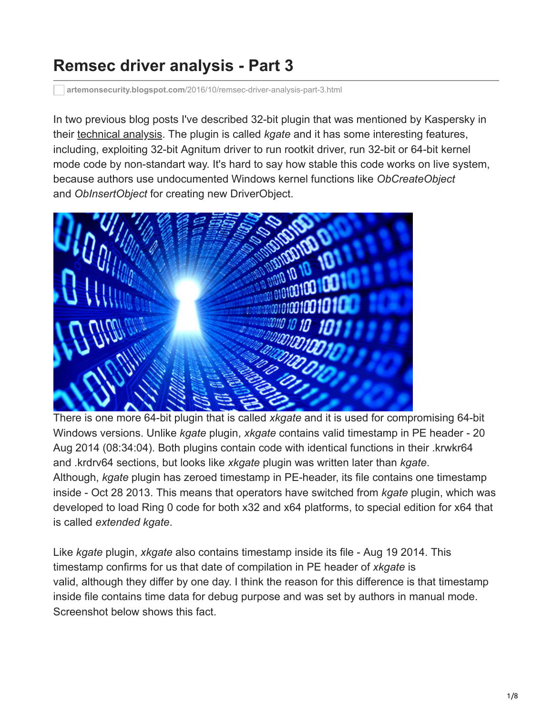## **Remsec driver analysis - Part 3**

**artemonsecurity.blogspot.com**[/2016/10/remsec-driver-analysis-part-3.html](https://artemonsecurity.blogspot.com/2016/10/remsec-driver-analysis-part-3.html)

In two previous blog posts I've described 32-bit plugin that was mentioned by Kaspersky in their [technical analysis.](https://securelist.com/files/2016/07/The-ProjectSauron-APT_Technical_Analysis_KL.pdf) The plugin is called *kgate* and it has some interesting features, including, exploiting 32-bit Agnitum driver to run rootkit driver, run 32-bit or 64-bit kernel mode code by non-standart way. It's hard to say how stable this code works on live system, because authors use undocumented Windows kernel functions like *ObCreateObject* and *ObInsertObject* for creating new DriverObject.



There is one more 64-bit plugin that is called *xkgate* and it is used for compromising 64-bit Windows versions. Unlike *kgate* plugin, *xkgate* contains valid timestamp in PE header - 20 Aug 2014 (08:34:04). Both plugins contain code with identical functions in their .krwkr64 and .krdrv64 sections, but looks like *xkgate* plugin was written later than *kgate*. Although, *kgate* plugin has zeroed timestamp in PE-header, its file contains one timestamp inside - Oct 28 2013. This means that operators have switched from *kgate* plugin, which was developed to load Ring 0 code for both x32 and x64 platforms, to special edition for x64 that is called *extended kgate*.

Like *kgate* plugin, *xkgate* also contains timestamp inside its file - Aug 19 2014. This timestamp confirms for us that date of compilation in PE header of *xkgate* is valid, although they differ by one day. I think the reason for this difference is that timestamp inside file contains time data for debug purpose and was set by authors in manual mode. Screenshot below shows this fact.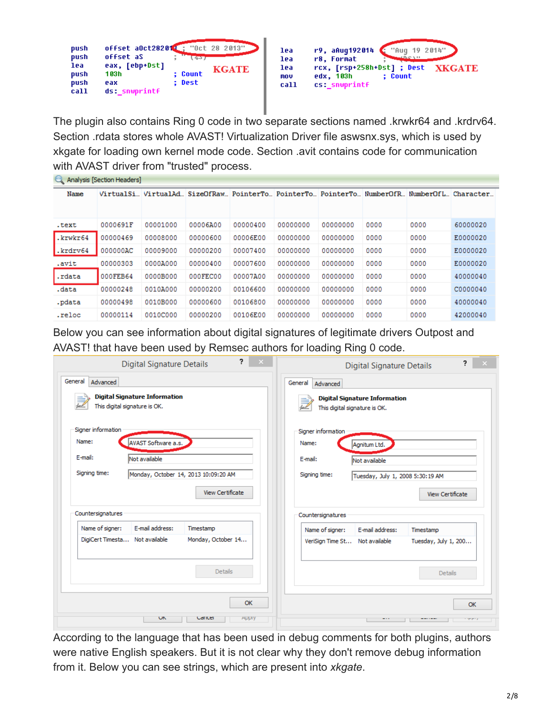| "Oct 28 2013"<br>offset aOct282012<br>push<br>push<br>offset aS<br>63.<br>eax, [ebp+Dst]<br>lea<br><b>KGATE</b><br>: Count<br>103h<br>push<br>: Dest<br>push<br>eax<br>ds: snwprintf<br>call | "Aug 19 2014"<br>r9, aAug192014<br>lea<br><b>LLOVERIT</b><br>r8. Format<br>lea<br>rcx, [rsp+258h+Dst] ; Dest<br><b>XKGATE</b><br>lea<br>edx, 103h<br>: Count<br>mov<br>cs snwprintf<br>call |
|----------------------------------------------------------------------------------------------------------------------------------------------------------------------------------------------|---------------------------------------------------------------------------------------------------------------------------------------------------------------------------------------------|
|----------------------------------------------------------------------------------------------------------------------------------------------------------------------------------------------|---------------------------------------------------------------------------------------------------------------------------------------------------------------------------------------------|

The plugin also contains Ring 0 code in two separate sections named .krwkr64 and .krdrv64. Section .rdata stores whole AVAST! Virtualization Driver file aswsnx.sys, which is used by xkgate for loading own kernel mode code. Section .avit contains code for communication with AVAST driver from "trusted" process.

| Analysis [Section Headers] |          |          |                                                                  |          |          |          |      |                     |          |
|----------------------------|----------|----------|------------------------------------------------------------------|----------|----------|----------|------|---------------------|----------|
| Name                       |          |          | VirtualSiVirtualAdSizeOfRawPointerToPointerToPointerToNumberOfR! |          |          |          |      | NumberOfL Character |          |
|                            |          |          |                                                                  |          |          |          |      |                     |          |
| .text                      | 0000691F | 00001000 | 00006A00                                                         | 00000400 | 00000000 | 00000000 | 0000 | 0000                | 60000020 |
| krwkr64                    | 00000469 | 00008000 | 00000600                                                         | 00006E00 | 00000000 | 00000000 | 0000 | 0000                | E0000020 |
| $\blacksquare$ .krdrv $64$ | 000000AC | 00009000 | 00000200                                                         | 00007400 | 00000000 | 00000000 | 0000 | 0000                | E0000020 |
| .avit                      | 00000303 | 0000A000 | 00000400                                                         | 00007600 | 00000000 | 00000000 | 0000 | 0000                | E0000020 |
| .rdata                     | 000FEB64 | 0000B000 | 000FEC00                                                         | 00007A00 | 00000000 | 00000000 | 0000 | 0000                | 40000040 |
| .data                      | 00000248 | 0010A000 | 00000200                                                         | 00106600 | 00000000 | 00000000 | 0000 | 0000                | C0000040 |
| .pdata                     | 00000498 | 0010B000 | 00000600                                                         | 00106800 | 00000000 | 00000000 | 0000 | 0000                | 40000040 |
| .reloc                     | 00000114 | 0010C000 | 00000200                                                         | 00106E00 | 00000000 | 00000000 | 0000 | 0000                | 42000040 |

Below you can see information about digital signatures of legitimate drivers Outpost and AVAST! that have been used by Remsec authors for loading Ring 0 code.

|                                                         | <b>Digital Signature Details</b>     |                                                          | ?<br>$\mathbf{x}$ |         |                                                         | <b>Digital Signature Details</b>                                      |                         | ż.          |  |
|---------------------------------------------------------|--------------------------------------|----------------------------------------------------------|-------------------|---------|---------------------------------------------------------|-----------------------------------------------------------------------|-------------------------|-------------|--|
| General<br>Advanced<br>This digital signature is OK.    | <b>Digital Signature Information</b> |                                                          |                   | General | Advanced                                                | <b>Digital Signature Information</b><br>This digital signature is OK. |                         |             |  |
| Signer information<br>Name:<br>E-mail:<br>Signing time: | AVAST Software a.s.<br>Not available | Monday, October 14, 2013 10:09:20 AM<br>View Certificate |                   |         | Signer information<br>Name:<br>E-mail:<br>Signing time: | Agnitum Ltd.<br>Not available<br>Tuesday, July 1, 2008 5:30:19 AM     | <b>View Certificate</b> |             |  |
| Countersignatures                                       |                                      |                                                          |                   |         | Countersignatures                                       |                                                                       |                         |             |  |
| Name of signer:                                         | E-mail address:                      | Timestamp                                                |                   |         | Name of signer:                                         | E-mail address:                                                       | Timestamp               |             |  |
| DigiCert Timesta Not available                          |                                      | Monday, October 14                                       |                   |         | VeriSign Time St Not available                          |                                                                       | Tuesday, July 1, 200    |             |  |
|                                                         |                                      | <b>Details</b>                                           | OK                |         |                                                         |                                                                       | <b>Details</b>          | OK          |  |
|                                                         | <b>UN</b>                            | Canter                                                   | <b>Apply</b>      |         |                                                         |                                                                       | ------                  | $T$ $T$ $T$ |  |

According to the language that has been used in debug comments for both plugins, authors were native English speakers. But it is not clear why they don't remove debug information from it. Below you can see strings, which are present into *xkgate*.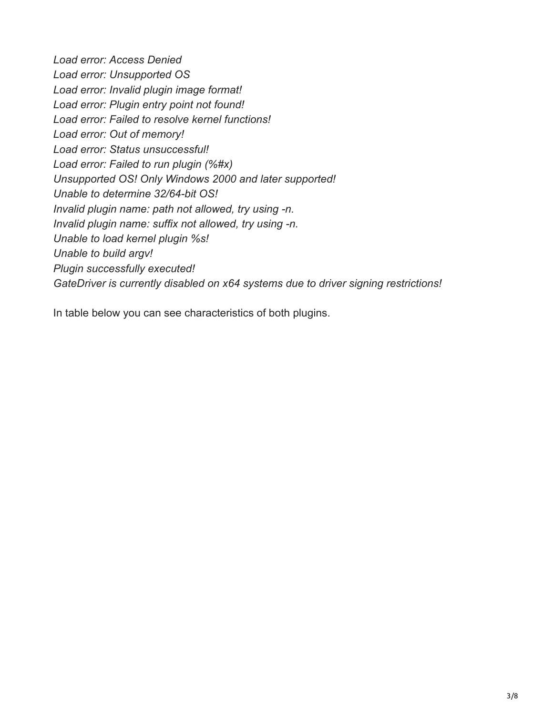*Load error: Access Denied Load error: Unsupported OS Load error: Invalid plugin image format! Load error: Plugin entry point not found! Load error: Failed to resolve kernel functions! Load error: Out of memory! Load error: Status unsuccessful! Load error: Failed to run plugin (%#x) Unsupported OS! Only Windows 2000 and later supported! Unable to determine 32/64-bit OS! Invalid plugin name: path not allowed, try using -n. Invalid plugin name: suffix not allowed, try using -n. Unable to load kernel plugin %s! Unable to build argv! Plugin successfully executed! GateDriver is currently disabled on x64 systems due to driver signing restrictions!*

In table below you can see characteristics of both plugins.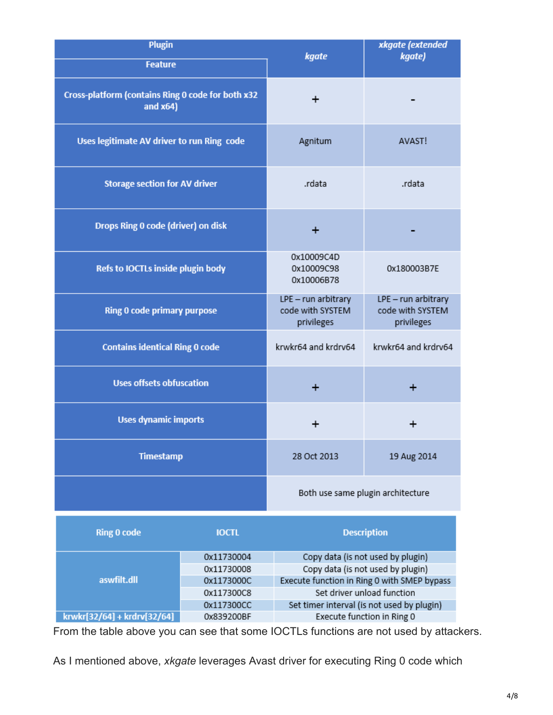| <b>Plugin</b><br><b>Feature</b>                                  | kgate                                                 | xkgate (extended<br>kgate)                            |  |
|------------------------------------------------------------------|-------------------------------------------------------|-------------------------------------------------------|--|
| Cross-platform (contains Ring 0 code for both x32<br>and $x64$ ) | +                                                     |                                                       |  |
| Uses legitimate AV driver to run Ring code                       | Agnitum                                               | AVAST!                                                |  |
| <b>Storage section for AV driver</b>                             | .rdata                                                | .rdata                                                |  |
| Drops Ring 0 code (driver) on disk                               |                                                       |                                                       |  |
| Refs to IOCTLs inside plugin body                                | 0x10009C4D<br>0x10009C98<br>0x10006B78                | 0x180003B7E                                           |  |
| Ring 0 code primary purpose                                      | LPE - run arbitrary<br>code with SYSTEM<br>privileges | LPE - run arbitrary<br>code with SYSTEM<br>privileges |  |
| <b>Contains identical Ring 0 code</b>                            | krwkr64 and krdrv64                                   | krwkr64 and krdrv64                                   |  |
| <b>Uses offsets obfuscation</b>                                  |                                                       | +                                                     |  |
| <b>Uses dynamic imports</b>                                      |                                                       |                                                       |  |
| <b>Timestamp</b>                                                 | 28 Oct 2013                                           | 19 Aug 2014                                           |  |
|                                                                  | Both use same plugin architecture                     |                                                       |  |

| <b>Ring 0 code</b>          | <b>IOCTL</b> | <b>Description</b>                          |
|-----------------------------|--------------|---------------------------------------------|
|                             | 0x11730004   | Copy data (is not used by plugin)           |
| aswfilt.dll                 | 0x11730008   | Copy data (is not used by plugin)           |
|                             | 0x1173000C   | Execute function in Ring 0 with SMEP bypass |
|                             | 0x117300C8   | Set driver unload function                  |
|                             | 0x117300CC   | Set timer interval (is not used by plugin)  |
| krwkr[32/64] + krdrv[32/64] | 0x839200BF   | Execute function in Ring 0                  |

From the table above you can see that some IOCTLs functions are not used by attackers.

As I mentioned above, *xkgate* leverages Avast driver for executing Ring 0 code which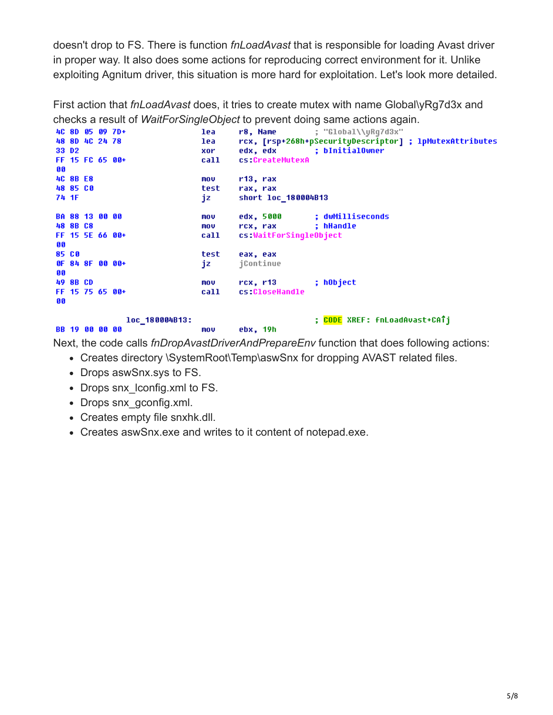doesn't drop to FS. There is function *fnLoadAvast* that is responsible for loading Avast driver in proper way. It also does some actions for reproducing correct environment for it. Unlike exploiting Agnitum driver, this situation is more hard for exploitation. Let's look more detailed.

First action that *fnLoadAvast* does, it tries to create mutex with name Global\yRg7d3x and checks a result of *WaitForSingleObject* to prevent doing same actions again.

|    |                   |                       | 4C 8D 05 09 7D+   | lea  | r8, Name                                                                                                       | ; "Global\\uRq7d3x"                                     |
|----|-------------------|-----------------------|-------------------|------|----------------------------------------------------------------------------------------------------------------|---------------------------------------------------------|
|    |                   | 48 8D 4C 24 78        |                   | lea  |                                                                                                                | rcx, [rsp+268h+pSecurityDescriptor] ; lpMutexAttributes |
|    | 33 D <sub>2</sub> |                       |                   | xor  |                                                                                                                | edx, edx : bInitialOwner                                |
|    |                   |                       | FF 15 FC 65 00+   | call | cs:CreateMutexA                                                                                                |                                                         |
| 66 |                   |                       |                   |      |                                                                                                                |                                                         |
|    | <b>4C 8B E8</b>   |                       |                   | mov  | r13, rax                                                                                                       |                                                         |
|    | 48 85 CO          |                       |                   | test | rax, rax                                                                                                       |                                                         |
|    | 74 1F             |                       |                   | jz   | short loc 180004B13                                                                                            |                                                         |
|    |                   |                       |                   |      |                                                                                                                |                                                         |
|    |                   | <b>BA 88 13 00 00</b> |                   | mov  | edx, 5000 <b>c</b>                                                                                             | : dwMilliseconds                                        |
|    | 48 8B C8          |                       |                   | mov  | rcx, rax and the results of the set of the set of the set of the set of the set of the set of the set of the s | ; hHandle                                               |
|    |                   |                       | FF 15 5E 66 88+   | call | cs:WaitForSingleObject                                                                                         |                                                         |
| 66 |                   |                       |                   |      |                                                                                                                |                                                         |
|    | 85 CO             |                       |                   | test | eax, eax                                                                                                       |                                                         |
|    |                   |                       | $0F$ 84 8F 00 00+ | jz   | jContinue                                                                                                      |                                                         |
| 66 |                   |                       |                   |      |                                                                                                                |                                                         |
|    | 49 8B CD          |                       |                   | mov  | rcx, r13                                                                                                       | ; hObject                                               |
|    |                   |                       | FF 15 75 65 00+   | call | cs:CloseHandle                                                                                                 |                                                         |
| 66 |                   |                       |                   |      |                                                                                                                |                                                         |
|    |                   |                       |                   |      |                                                                                                                |                                                         |
|    |                   |                       | loc 180004B13:    |      |                                                                                                                | ; <mark>CODE</mark> XREF:        fnLoadAvast+CATj       |
|    |                   | <b>BB</b> 19 00 00 00 |                   | mou  | ebx, 19h                                                                                                       |                                                         |
|    |                   |                       |                   |      |                                                                                                                |                                                         |

Next, the code calls *fnDropAvastDriverAndPrepareEnv* function that does following actions:

- Creates directory \SystemRoot\Temp\aswSnx for dropping AVAST related files.
- Drops aswSnx.sys to FS.
- Drops snx lconfig.xml to FS.
- Drops snx gconfig.xml.
- Creates empty file snxhk.dll.
- Creates aswSnx.exe and writes to it content of notepad.exe.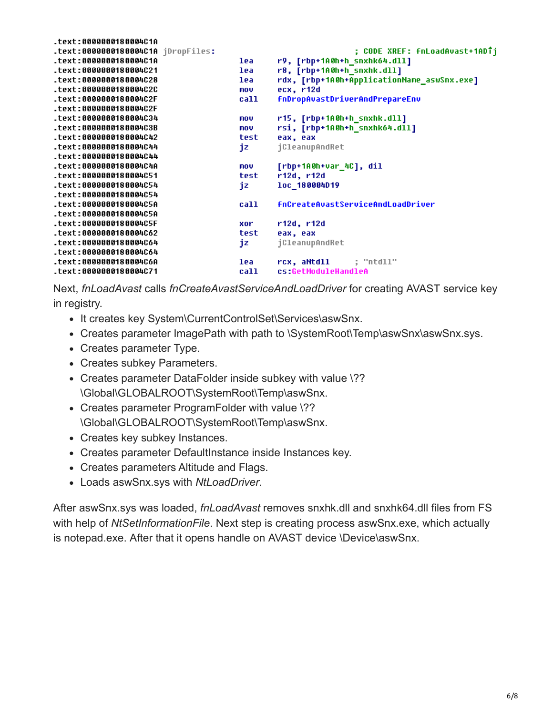| $.$ text:0000000180004C1A          |      |                                            |
|------------------------------------|------|--------------------------------------------|
| .text:0000000180004C1A jDropFiles: |      | ; CODE XREF: fnLoadAvast+1ADTj             |
| text:0000000180004C1A.             | lea  | r9, [rbp+1A0h+h_snxhk64.dll]               |
| text:0000000180004C21.             | lea  | r8, [rbp+1A0h+h_snxhk.dll]                 |
| text:0000000180004C28.             | lea  | rdx, [rbp+1A0h+ApplicationName_aswSnx.exe] |
| text:0000000180004C2C.             | mov  | ecx, r12d                                  |
| text:0000000180004C2F.             | call | <b>fnDropAvastDriverAndPrepareEnv</b>      |
| text:0000000180004C2F.             |      |                                            |
| text:0000000180004C34.             | mov  | r15, [rbp+1A0h+h snxhk.dll]                |
| text:0000000180004C3B.             | mov  | rsi, [rbp+1A0h+h_snxhk64.dll]              |
| text:0000000180004C42.             | test | eax, eax                                   |
| text:0000000180004C44.             | jz   | jCleanupAndRet                             |
| text:0000000180004C44.             |      |                                            |
| text:0000000180004C4A.             | mov  | [rbp+1A0h+var_4C], dil                     |
| text:0000000180004C51.             | test | r12d, r12d                                 |
| text:0000000180004C54.             | jz   | loc 180004D19                              |
| text:0000000180004C54.             |      |                                            |
| text:0000000180004C5A.             | call | <b>fnCreateAvastServiceAndLoadDriver</b>   |
| text:0000000180004C5A.             |      |                                            |
| text:0000000180004C5F.             | xor  | r12d, r12d                                 |
| text:0000000180004C62.             | test | eax, eax                                   |
| text:0000000180004C64.             | jz   | jCleanupAndRet                             |
| text:0000000180004C64.             |      |                                            |
| text:0000000180004C6A.             | lea  | rcx, aNtdll<br>: "ntdll"                   |
| text:0000000180004C71.             | call | cs:GetModuleHandleA                        |

Next, *fnLoadAvast* calls *fnCreateAvastServiceAndLoadDriver* for creating AVAST service key in registry.

- It creates key System\CurrentControlSet\Services\aswSnx.
- Creates parameter ImagePath with path to \SystemRoot\Temp\aswSnx\aswSnx.sys.
- Creates parameter Type.
- Creates subkey Parameters.
- Creates parameter DataFolder inside subkey with value \?? \Global\GLOBALROOT\SystemRoot\Temp\aswSnx.
- Creates parameter ProgramFolder with value \?? \Global\GLOBALROOT\SystemRoot\Temp\aswSnx.
- Creates key subkey Instances.
- Creates parameter DefaultInstance inside Instances key.
- Creates parameters Altitude and Flags.
- Loads aswSnx.sys with *NtLoadDriver*.

After aswSnx.sys was loaded, *fnLoadAvast* removes snxhk.dll and snxhk64.dll files from FS with help of *NtSetInformationFile*. Next step is creating process aswSnx.exe, which actually is notepad.exe. After that it opens handle on AVAST device \Device\aswSnx.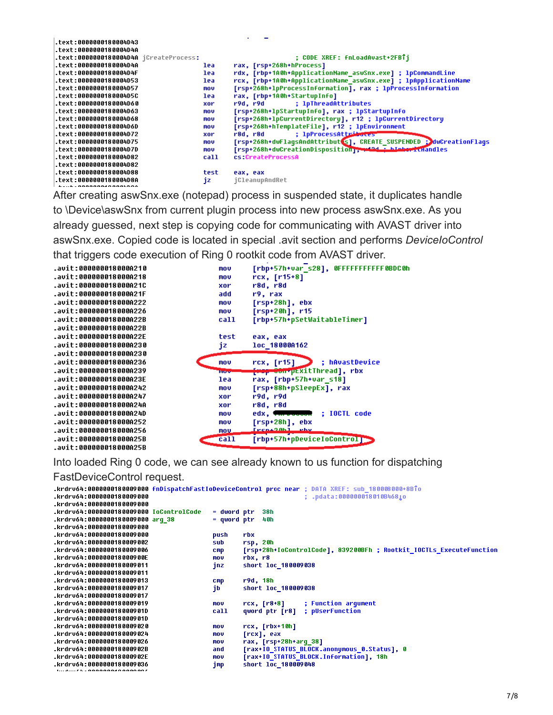| text:0000000180004D43.                 |      |                                                                                        |
|----------------------------------------|------|----------------------------------------------------------------------------------------|
| text:0000000180004D4A.                 |      |                                                                                        |
| .text:0000000180004D4A jCreateProcess: |      | ; CODE XREF: fnLoadAvast+2FBTi                                                         |
| text:0000000180004D4A.                 | lea  | rax, [rsp+268h+hProcess]                                                               |
| .text:0000000180004D4F                 | lea  | rdx, [rbp+1A0h+ApplicationName_aswSnx.exe] ; lpCommandLine                             |
| text:0000000180004D53.                 | lea  | rcx, [rbp+1A0h+ApplicationName_aswSnx.exe] ; lpApplicationName                         |
| text:0000000180004D57.                 | mov  | [rsp+268h+1pProcessInformation], rax ; 1pProcessInformation                            |
| .text:0000000180004D5C                 | lea  | rax, [rbp+1A0h+StartupInfo]                                                            |
| .text:0000000180004D60                 | xor  | ; 1pThreadAttributes                                                                   |
| text:0000000180004D63                  | mov  | [rsp+268h+lpStartupInfo], rax ; lpStartupInfo                                          |
| text:0000000180004D68.                 | mov  | [rsp+268h+lpCurrentDirectory], r12 ; lpCurrentDirectory                                |
| text:0000000180004D6D.                 | mov  | [rsp+268h+hTemplateFile], r12 ; lpEnvironment                                          |
| text:0000000180004D72.                 | xor  | ; 1pProcessAttributes<br>r8d. r8d                                                      |
| .text:0000000180004D75                 | mov  | [rsp+268h+dwFlagsAndAttribut s],                    CREATE_SUSPENDED : dwCreationFlags |
| text:0000000180004D7D.                 | mov  | [rsp+268h+dwCreationDisposition], when him him about chandles                          |
| text:0000000180004D82.                 | call | cs:CreateProcessA                                                                      |
| text:0000000180004D82                  |      |                                                                                        |
| text:0000000180004D88.                 | test | eax, eax                                                                               |
| .text:0000000180004D8A                 | jz   | jCleanupAndRet                                                                         |
|                                        |      |                                                                                        |

After creating aswSnx.exe (notepad) process in suspended state, it duplicates handle to \Device\aswSnx from current plugin process into new process aswSnx.exe. As you already guessed, next step is copying code for communicating with AVAST driver into aswSnx.exe. Copied code is located in special .avit section and performs *DeviceIoControl* that triggers code execution of Ring 0 rootkit code from AVAST driver.

| .avit:000000018000A210 | mov          | [rbp+57h+var_s28], OFFFFFFFFFFF OBDCOh |
|------------------------|--------------|----------------------------------------|
| .avit:000000018000A218 | mov          | rcx, [r15+8]                           |
| .avit:000000018000A21C | xor          | r8d, r8d                               |
| .avit:000000018000A21F | add          | r9. rax                                |
| .avit:000000018000A222 | mov          | $[rsp+28h]$ , ebx                      |
| .avit:000000018000A226 | mov          | $[rsp+20h]$ , r15                      |
| .avit:000000018000A22B | call         | [rbp+57h+pSetWaitableTimer]            |
| .avit:000000018000A22B |              |                                        |
| .avit:000000018000A22E | test         | eax, eax                               |
| .avit:000000018000A230 | jz           | loc 18000A162                          |
| .avit:000000018000A230 |              |                                        |
| .avit:000000018000A236 | mov          | ; hAvastDevice<br>rcx, [r15]           |
| .avit:000000018000A239 | <b>Brows</b> | <del>[wop 00n*</del> pExitThread], rbx |
| .avit:000000018000A23E | lea          | rax, [rbp+57h+var_s18]                 |
| .avit:000000018000A242 | mov          | [rsp+88h+pSleepEx], rax                |
| .avit:000000018000A247 | xor          | r9d, r9d                               |
| .avit:000000018000A24A | xor          | r8d, r8d                               |
| .avit:000000018000A24D | mnu          | edx, wherever the IOCTL code           |
| .avit:000000018000A252 | mov          | [rsp+28h], ebx                         |
| .avit:000000018000A256 | mou          | [PCBA2Ab] Phy                          |
| .avit:000000018000A25B | ca11         | [rbp+57h+pDeviceIoControl]             |
| .avit:AAAAAAA18AAAA25R |              |                                        |

Into loaded Ring 0 code, we can see already known to us function for dispatching

FastDeviceControl request.

|                                         |               | krdrv64:0000000180009000 fnDispatchFastIoDeviceControl proc near ; DATA XREF: sub 180008000+8BTo |
|-----------------------------------------|---------------|--------------------------------------------------------------------------------------------------|
| .krdrv64:0000000180009000               |               | : .pdata:000000018010B46810                                                                      |
| .krdrv64:0000000180009000               |               |                                                                                                  |
| .krdrv64:0000000180009000 IoControlCode | = dword ptr   | 38h                                                                                              |
| .krdrvó4:0000000180009000 arq 38        | $=$ qword ptr | 48h                                                                                              |
| .krdrv64:0000000180009000               |               |                                                                                                  |
| .krdrv64:0000000180009000               | push          | rbx                                                                                              |
| .krdrv64:0000000180009002               | sub           | rsp, 20h                                                                                         |
| .krdrv64:0000000180009006               | <b>CMD</b>    | [rsp+28h+IoControlCode], 839200BFh ; Rootkit IOCTLs ExecuteFunction                              |
| .krdrv64:000000018000900E               | mov           | rbx, r8                                                                                          |
| .krdrv64:0000000180009011               | jnz           | short loc 180009038                                                                              |
| .krdrv64:0000000180009011               |               |                                                                                                  |
| .krdrv64:0000000180009013               | <b>CMP</b>    | r9d, 18h                                                                                         |
| .krdrv64:0000000180009017               | jb            | short loc 180009038                                                                              |
| .krdrv64:8888888188889817               |               |                                                                                                  |
| .krdrv64:0000000180009019               | mov           | ; Function argument<br>$rcx, [r8+8]$                                                             |
| .krdrv64:000000018000901D               | call          | ; pUserFunction<br>qword ptr [r8]                                                                |
| .krdrv64:000000018000901D               |               |                                                                                                  |
| .krdrv64:0000000180009020               | mov           | $rcx, [rbx+10h]$                                                                                 |
| .krdrv64:0000000180009024               | mov           | [rcx], eax                                                                                       |
| .krdrv64:0000000180009026               | mov           | rax, [rsp+28h+arq 38]                                                                            |
| .krdrv64:000000018000902B               | and           | [rax+IO STATUS_BLOCK.anonymous_0.Status], 0                                                      |
| .krdrv64:000000018000902E               | mov           | [rax+IO_STATUS_BLOCK.Information], 18h                                                           |
| .krdrv64:888888188889836                | jmp           | short loc 180009048                                                                              |
|                                         |               |                                                                                                  |
|                                         |               |                                                                                                  |